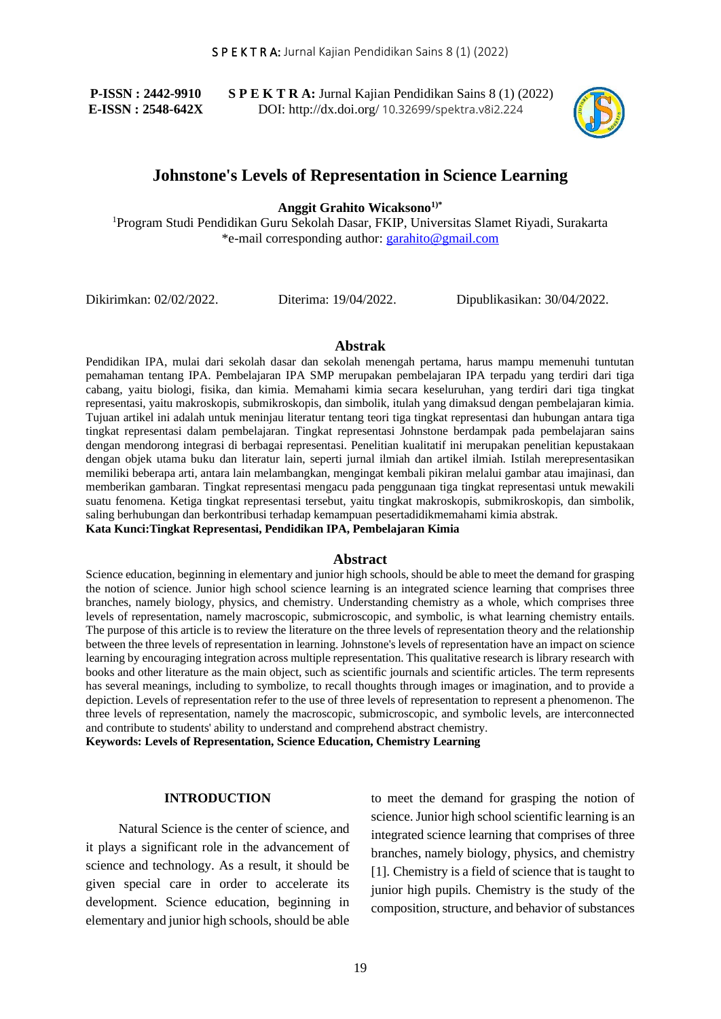**P-ISSN : 2442-9910 E-ISSN : 2548-642X** **S P E K T R A:** Jurnal Kajian Pendidikan Sains 8 (1) (2022) DOI: http://dx.doi.org/ 10.32699/spektra.v8i2.224



# **Johnstone's Levels of Representation in Science Learning**

**Anggit Grahito Wicaksono1)\***

<sup>1</sup>Program Studi Pendidikan Guru Sekolah Dasar, FKIP, Universitas Slamet Riyadi, Surakarta \*e-mail corresponding author: [garahito@gmail.com](mailto:garahito@gmail.com)

Dikirimkan: 02/02/2022. Diterima: 19/04/2022. Dipublikasikan: 30/04/2022.

#### **Abstrak**

Pendidikan IPA, mulai dari sekolah dasar dan sekolah menengah pertama, harus mampu memenuhi tuntutan pemahaman tentang IPA. Pembelajaran IPA SMP merupakan pembelajaran IPA terpadu yang terdiri dari tiga cabang, yaitu biologi, fisika, dan kimia. Memahami kimia secara keseluruhan, yang terdiri dari tiga tingkat representasi, yaitu makroskopis, submikroskopis, dan simbolik, itulah yang dimaksud dengan pembelajaran kimia. Tujuan artikel ini adalah untuk meninjau literatur tentang teori tiga tingkat representasi dan hubungan antara tiga tingkat representasi dalam pembelajaran. Tingkat representasi Johnstone berdampak pada pembelajaran sains dengan mendorong integrasi di berbagai representasi. Penelitian kualitatif ini merupakan penelitian kepustakaan dengan objek utama buku dan literatur lain, seperti jurnal ilmiah dan artikel ilmiah. Istilah merepresentasikan memiliki beberapa arti, antara lain melambangkan, mengingat kembali pikiran melalui gambar atau imajinasi, dan memberikan gambaran. Tingkat representasi mengacu pada penggunaan tiga tingkat representasi untuk mewakili suatu fenomena. Ketiga tingkat representasi tersebut, yaitu tingkat makroskopis, submikroskopis, dan simbolik, saling berhubungan dan berkontribusi terhadap kemampuan pesertadidikmemahami kimia abstrak. **Kata Kunci:Tingkat Representasi, Pendidikan IPA, Pembelajaran Kimia**

#### **Abstract**

Science education, beginning in elementary and junior high schools, should be able to meet the demand for grasping the notion of science. Junior high school science learning is an integrated science learning that comprises three branches, namely biology, physics, and chemistry. Understanding chemistry as a whole, which comprises three levels of representation, namely macroscopic, submicroscopic, and symbolic, is what learning chemistry entails. The purpose of this article is to review the literature on the three levels of representation theory and the relationship between the three levels of representation in learning. Johnstone's levels of representation have an impact on science learning by encouraging integration across multiple representation. This qualitative research is library research with books and other literature as the main object, such as scientific journals and scientific articles. The term represents has several meanings, including to symbolize, to recall thoughts through images or imagination, and to provide a depiction. Levels of representation refer to the use of three levels of representation to represent a phenomenon. The three levels of representation, namely the macroscopic, submicroscopic, and symbolic levels, are interconnected and contribute to students' ability to understand and comprehend abstract chemistry.

**Keywords: Levels of Representation, Science Education, Chemistry Learning**

#### **INTRODUCTION**

Natural Science is the center of science, and it plays a significant role in the advancement of science and technology. As a result, it should be given special care in order to accelerate its development. Science education, beginning in elementary and junior high schools, should be able

to meet the demand for grasping the notion of science. Junior high school scientific learning is an integrated science learning that comprises of three branches, namely biology, physics, and chemistry [1]. Chemistry is a field of science that is taught to junior high pupils. Chemistry is the study of the composition, structure, and behavior of substances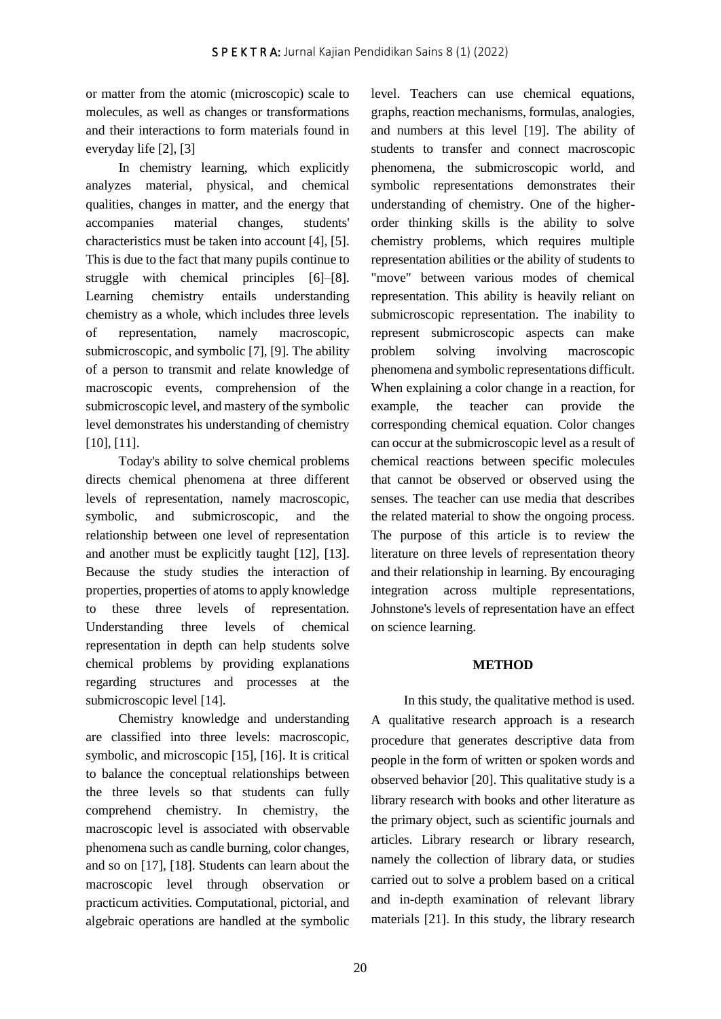or matter from the atomic (microscopic) scale to molecules, as well as changes or transformations and their interactions to form materials found in everyday life [2], [3]

In chemistry learning, which explicitly analyzes material, physical, and chemical qualities, changes in matter, and the energy that accompanies material changes, students' characteristics must be taken into account [4], [5]. This is due to the fact that many pupils continue to struggle with chemical principles [6]–[8]. Learning chemistry entails understanding chemistry as a whole, which includes three levels of representation, namely macroscopic, submicroscopic, and symbolic [7], [9]. The ability of a person to transmit and relate knowledge of macroscopic events, comprehension of the submicroscopic level, and mastery of the symbolic level demonstrates his understanding of chemistry [10], [11].

Today's ability to solve chemical problems directs chemical phenomena at three different levels of representation, namely macroscopic, symbolic, and submicroscopic, and the relationship between one level of representation and another must be explicitly taught [12], [13]. Because the study studies the interaction of properties, properties of atoms to apply knowledge to these three levels of representation. Understanding three levels of chemical representation in depth can help students solve chemical problems by providing explanations regarding structures and processes at the submicroscopic level [14].

Chemistry knowledge and understanding are classified into three levels: macroscopic, symbolic, and microscopic [15], [16]. It is critical to balance the conceptual relationships between the three levels so that students can fully comprehend chemistry. In chemistry, the macroscopic level is associated with observable phenomena such as candle burning, color changes, and so on [17], [18]. Students can learn about the macroscopic level through observation or practicum activities. Computational, pictorial, and algebraic operations are handled at the symbolic

level. Teachers can use chemical equations, graphs, reaction mechanisms, formulas, analogies, and numbers at this level [19]. The ability of students to transfer and connect macroscopic phenomena, the submicroscopic world, and symbolic representations demonstrates their understanding of chemistry. One of the higherorder thinking skills is the ability to solve chemistry problems, which requires multiple representation abilities or the ability of students to "move" between various modes of chemical representation. This ability is heavily reliant on submicroscopic representation. The inability to represent submicroscopic aspects can make problem solving involving macroscopic phenomena and symbolic representations difficult. When explaining a color change in a reaction, for example, the teacher can provide the corresponding chemical equation. Color changes can occur at the submicroscopic level as a result of chemical reactions between specific molecules that cannot be observed or observed using the senses. The teacher can use media that describes the related material to show the ongoing process. The purpose of this article is to review the literature on three levels of representation theory and their relationship in learning. By encouraging integration across multiple representations, Johnstone's levels of representation have an effect on science learning.

# **METHOD**

In this study, the qualitative method is used. A qualitative research approach is a research procedure that generates descriptive data from people in the form of written or spoken words and observed behavior [20]. This qualitative study is a library research with books and other literature as the primary object, such as scientific journals and articles. Library research or library research, namely the collection of library data, or studies carried out to solve a problem based on a critical and in-depth examination of relevant library materials [21]. In this study, the library research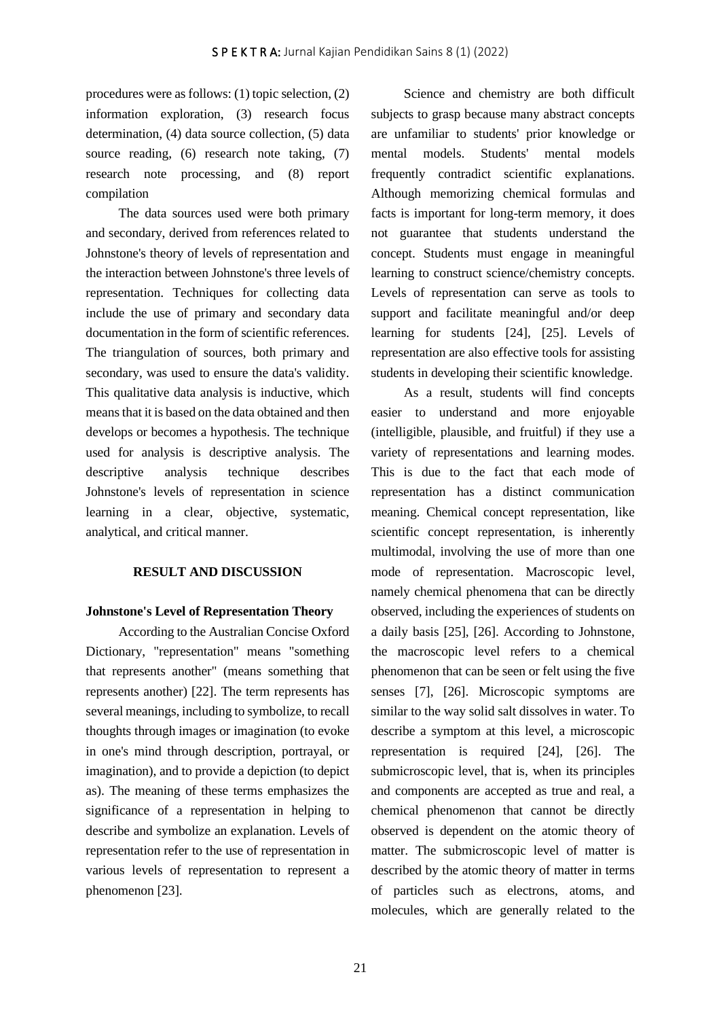procedures were as follows: (1) topic selection, (2) information exploration, (3) research focus determination, (4) data source collection, (5) data source reading, (6) research note taking, (7) research note processing, and (8) report compilation

The data sources used were both primary and secondary, derived from references related to Johnstone's theory of levels of representation and the interaction between Johnstone's three levels of representation. Techniques for collecting data include the use of primary and secondary data documentation in the form of scientific references. The triangulation of sources, both primary and secondary, was used to ensure the data's validity. This qualitative data analysis is inductive, which means that it is based on the data obtained and then develops or becomes a hypothesis. The technique used for analysis is descriptive analysis. The descriptive analysis technique describes Johnstone's levels of representation in science learning in a clear, objective, systematic, analytical, and critical manner.

## **RESULT AND DISCUSSION**

## **Johnstone's Level of Representation Theory**

According to the Australian Concise Oxford Dictionary, "representation" means "something that represents another" (means something that represents another) [22]. The term represents has several meanings, including to symbolize, to recall thoughts through images or imagination (to evoke in one's mind through description, portrayal, or imagination), and to provide a depiction (to depict as). The meaning of these terms emphasizes the significance of a representation in helping to describe and symbolize an explanation. Levels of representation refer to the use of representation in various levels of representation to represent a phenomenon [23].

Science and chemistry are both difficult subjects to grasp because many abstract concepts are unfamiliar to students' prior knowledge or mental models. Students' mental models frequently contradict scientific explanations. Although memorizing chemical formulas and facts is important for long-term memory, it does not guarantee that students understand the concept. Students must engage in meaningful learning to construct science/chemistry concepts. Levels of representation can serve as tools to support and facilitate meaningful and/or deep learning for students [24], [25]. Levels of representation are also effective tools for assisting students in developing their scientific knowledge.

As a result, students will find concepts easier to understand and more enjoyable (intelligible, plausible, and fruitful) if they use a variety of representations and learning modes. This is due to the fact that each mode of representation has a distinct communication meaning. Chemical concept representation, like scientific concept representation, is inherently multimodal, involving the use of more than one mode of representation. Macroscopic level, namely chemical phenomena that can be directly observed, including the experiences of students on a daily basis [25], [26]. According to Johnstone, the macroscopic level refers to a chemical phenomenon that can be seen or felt using the five senses [7], [26]. Microscopic symptoms are similar to the way solid salt dissolves in water. To describe a symptom at this level, a microscopic representation is required [24], [26]. The submicroscopic level, that is, when its principles and components are accepted as true and real, a chemical phenomenon that cannot be directly observed is dependent on the atomic theory of matter. The submicroscopic level of matter is described by the atomic theory of matter in terms of particles such as electrons, atoms, and molecules, which are generally related to the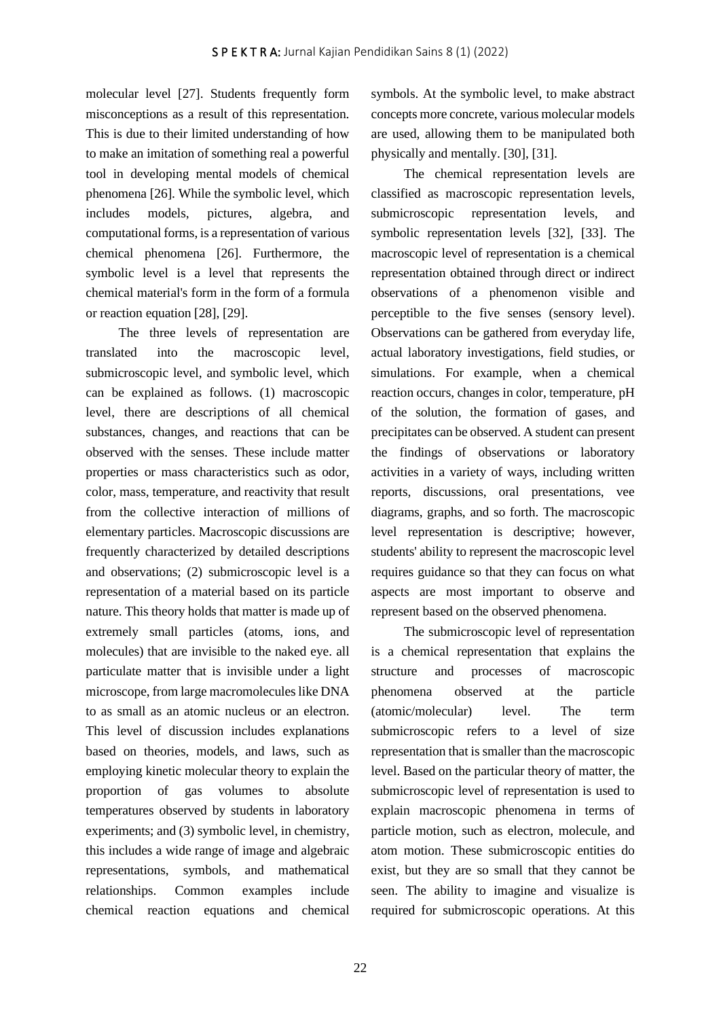molecular level [27]. Students frequently form misconceptions as a result of this representation. This is due to their limited understanding of how to make an imitation of something real a powerful tool in developing mental models of chemical phenomena [26]. While the symbolic level, which includes models, pictures, algebra, and computational forms, is a representation of various chemical phenomena [26]. Furthermore, the symbolic level is a level that represents the chemical material's form in the form of a formula or reaction equation [28], [29].

The three levels of representation are translated into the macroscopic level, submicroscopic level, and symbolic level, which can be explained as follows. (1) macroscopic level, there are descriptions of all chemical substances, changes, and reactions that can be observed with the senses. These include matter properties or mass characteristics such as odor, color, mass, temperature, and reactivity that result from the collective interaction of millions of elementary particles. Macroscopic discussions are frequently characterized by detailed descriptions and observations; (2) submicroscopic level is a representation of a material based on its particle nature. This theory holds that matter is made up of extremely small particles (atoms, ions, and molecules) that are invisible to the naked eye. all particulate matter that is invisible under a light microscope, from large macromolecules like DNA to as small as an atomic nucleus or an electron. This level of discussion includes explanations based on theories, models, and laws, such as employing kinetic molecular theory to explain the proportion of gas volumes to absolute temperatures observed by students in laboratory experiments; and (3) symbolic level, in chemistry, this includes a wide range of image and algebraic representations, symbols, and mathematical relationships. Common examples include chemical reaction equations and chemical symbols. At the symbolic level, to make abstract concepts more concrete, various molecular models are used, allowing them to be manipulated both physically and mentally. [30], [31].

The chemical representation levels are classified as macroscopic representation levels, submicroscopic representation levels, and symbolic representation levels [32], [33]. The macroscopic level of representation is a chemical representation obtained through direct or indirect observations of a phenomenon visible and perceptible to the five senses (sensory level). Observations can be gathered from everyday life, actual laboratory investigations, field studies, or simulations. For example, when a chemical reaction occurs, changes in color, temperature, pH of the solution, the formation of gases, and precipitates can be observed. A student can present the findings of observations or laboratory activities in a variety of ways, including written reports, discussions, oral presentations, vee diagrams, graphs, and so forth. The macroscopic level representation is descriptive; however, students' ability to represent the macroscopic level requires guidance so that they can focus on what aspects are most important to observe and represent based on the observed phenomena.

The submicroscopic level of representation is a chemical representation that explains the structure and processes of macroscopic phenomena observed at the particle (atomic/molecular) level. The term submicroscopic refers to a level of size representation that is smaller than the macroscopic level. Based on the particular theory of matter, the submicroscopic level of representation is used to explain macroscopic phenomena in terms of particle motion, such as electron, molecule, and atom motion. These submicroscopic entities do exist, but they are so small that they cannot be seen. The ability to imagine and visualize is required for submicroscopic operations. At this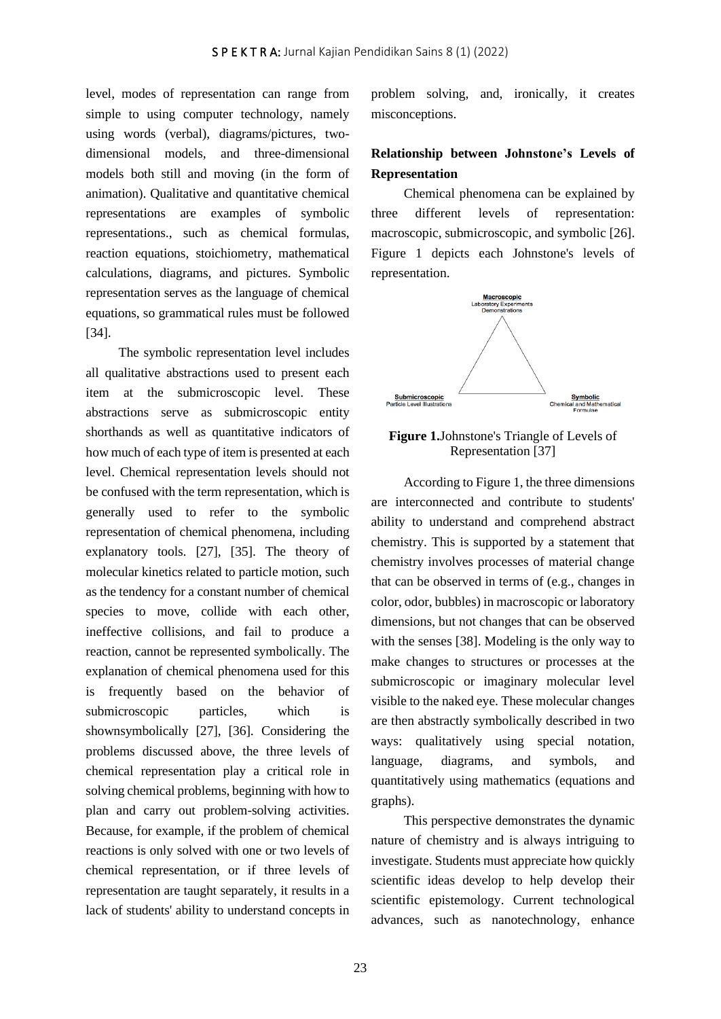level, modes of representation can range from simple to using computer technology, namely using words (verbal), diagrams/pictures, twodimensional models, and three-dimensional models both still and moving (in the form of animation). Qualitative and quantitative chemical representations are examples of symbolic representations., such as chemical formulas, reaction equations, stoichiometry, mathematical calculations, diagrams, and pictures. Symbolic representation serves as the language of chemical equations, so grammatical rules must be followed [34].

The symbolic representation level includes all qualitative abstractions used to present each item at the submicroscopic level. These abstractions serve as submicroscopic entity shorthands as well as quantitative indicators of how much of each type of item is presented at each level. Chemical representation levels should not be confused with the term representation, which is generally used to refer to the symbolic representation of chemical phenomena, including explanatory tools. [27], [35]. The theory of molecular kinetics related to particle motion, such as the tendency for a constant number of chemical species to move, collide with each other, ineffective collisions, and fail to produce a reaction, cannot be represented symbolically. The explanation of chemical phenomena used for this is frequently based on the behavior of submicroscopic particles, which is shownsymbolically [27], [36]. Considering the problems discussed above, the three levels of chemical representation play a critical role in solving chemical problems, beginning with how to plan and carry out problem-solving activities. Because, for example, if the problem of chemical reactions is only solved with one or two levels of chemical representation, or if three levels of representation are taught separately, it results in a lack of students' ability to understand concepts in

problem solving, and, ironically, it creates misconceptions.

# **Relationship between Johnstone's Levels of Representation**

Chemical phenomena can be explained by three different levels of representation: macroscopic, submicroscopic, and symbolic [26]. Figure 1 depicts each Johnstone's levels of representation.





According to Figure 1, the three dimensions are interconnected and contribute to students' ability to understand and comprehend abstract chemistry. This is supported by a statement that chemistry involves processes of material change that can be observed in terms of (e.g., changes in color, odor, bubbles) in macroscopic or laboratory dimensions, but not changes that can be observed with the senses [38]. Modeling is the only way to make changes to structures or processes at the submicroscopic or imaginary molecular level visible to the naked eye. These molecular changes are then abstractly symbolically described in two ways: qualitatively using special notation, language, diagrams, and symbols, and quantitatively using mathematics (equations and graphs).

This perspective demonstrates the dynamic nature of chemistry and is always intriguing to investigate. Students must appreciate how quickly scientific ideas develop to help develop their scientific epistemology. Current technological advances, such as nanotechnology, enhance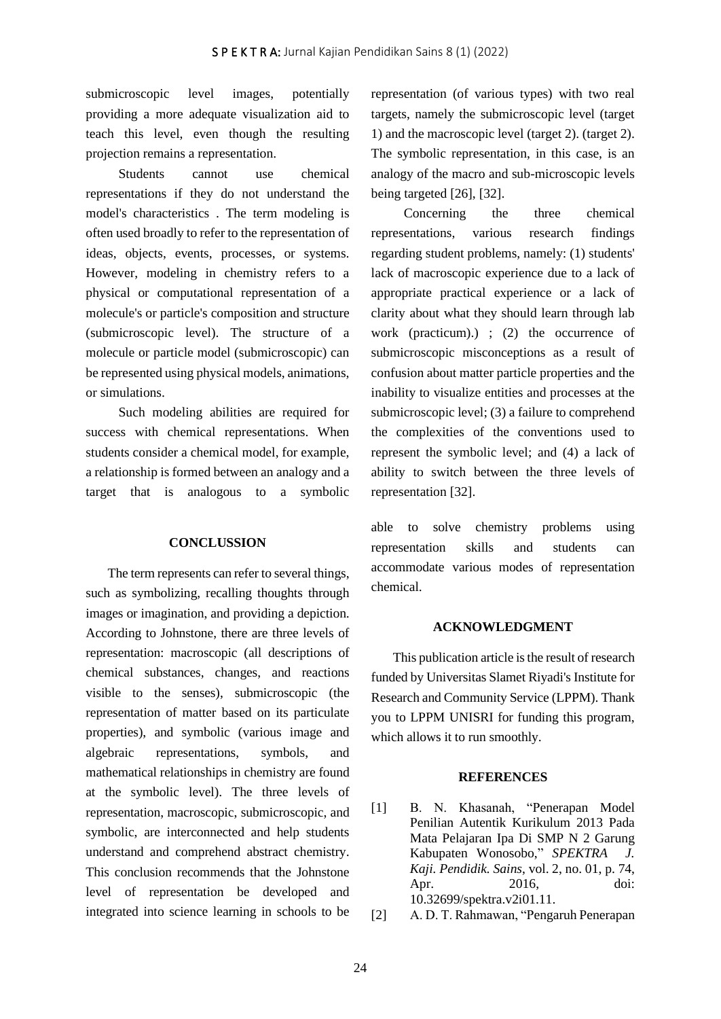submicroscopic level images, potentially providing a more adequate visualization aid to teach this level, even though the resulting projection remains a representation.

Students cannot use chemical representations if they do not understand the model's characteristics . The term modeling is often used broadly to refer to the representation of ideas, objects, events, processes, or systems. However, modeling in chemistry refers to a physical or computational representation of a molecule's or particle's composition and structure (submicroscopic level). The structure of a molecule or particle model (submicroscopic) can be represented using physical models, animations, or simulations.

Such modeling abilities are required for success with chemical representations. When students consider a chemical model, for example, a relationship is formed between an analogy and a target that is analogous to a symbolic

## **CONCLUSSION**

The term represents can refer to several things, such as symbolizing, recalling thoughts through images or imagination, and providing a depiction. According to Johnstone, there are three levels of representation: macroscopic (all descriptions of chemical substances, changes, and reactions visible to the senses), submicroscopic (the representation of matter based on its particulate properties), and symbolic (various image and algebraic representations, symbols, and mathematical relationships in chemistry are found at the symbolic level). The three levels of representation, macroscopic, submicroscopic, and symbolic, are interconnected and help students understand and comprehend abstract chemistry. This conclusion recommends that the Johnstone level of representation be developed and integrated into science learning in schools to be

representation (of various types) with two real targets, namely the submicroscopic level (target 1) and the macroscopic level (target 2). (target 2). The symbolic representation, in this case, is an analogy of the macro and sub-microscopic levels being targeted [26], [32].

Concerning the three chemical representations, various research findings regarding student problems, namely: (1) students' lack of macroscopic experience due to a lack of appropriate practical experience or a lack of clarity about what they should learn through lab work (practicum).) ; (2) the occurrence of submicroscopic misconceptions as a result of confusion about matter particle properties and the inability to visualize entities and processes at the submicroscopic level; (3) a failure to comprehend the complexities of the conventions used to represent the symbolic level; and (4) a lack of ability to switch between the three levels of representation [32].

able to solve chemistry problems using representation skills and students can accommodate various modes of representation chemical.

## **ACKNOWLEDGMENT**

This publication article is the result of research funded by Universitas Slamet Riyadi's Institute for Research and Community Service (LPPM). Thank you to LPPM UNISRI for funding this program, which allows it to run smoothly.

#### **REFERENCES**

- [1] B. N. Khasanah, "Penerapan Model Penilian Autentik Kurikulum 2013 Pada Mata Pelajaran Ipa Di SMP N 2 Garung Kabupaten Wonosobo," *SPEKTRA J. Kaji. Pendidik. Sains*, vol. 2, no. 01, p. 74, Apr. 2016, doi: 10.32699/spektra.v2i01.11.
- [2] A. D. T. Rahmawan, "Pengaruh Penerapan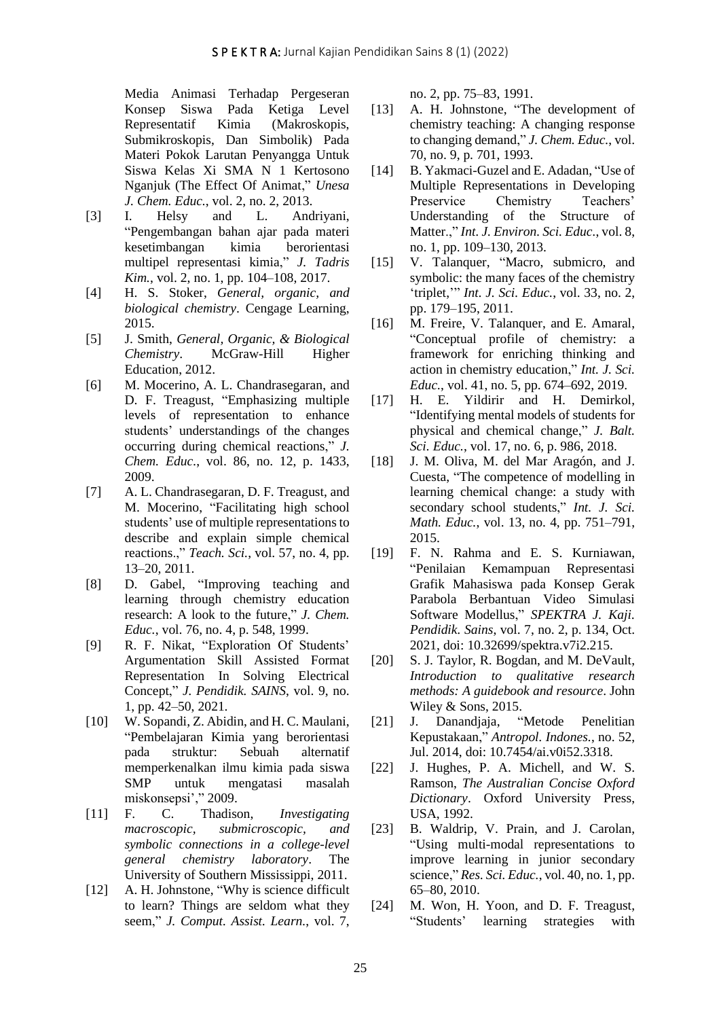Media Animasi Terhadap Pergeseran Konsep Siswa Pada Ketiga Level Representatif Kimia (Makroskopis, Submikroskopis, Dan Simbolik) Pada Materi Pokok Larutan Penyangga Untuk Siswa Kelas Xi SMA N 1 Kertosono Nganjuk (The Effect Of Animat," *Unesa J. Chem. Educ.*, vol. 2, no. 2, 2013.

- [3] I. Helsy and L. Andriyani, "Pengembangan bahan ajar pada materi kesetimbangan kimia berorientasi multipel representasi kimia," *J. Tadris Kim.*, vol. 2, no. 1, pp. 104–108, 2017.
- [4] H. S. Stoker, *General, organic, and biological chemistry*. Cengage Learning, 2015.
- [5] J. Smith, *General, Organic, & Biological Chemistry*. McGraw-Hill Higher Education, 2012.
- [6] M. Mocerino, A. L. Chandrasegaran, and D. F. Treagust, "Emphasizing multiple levels of representation to enhance students' understandings of the changes occurring during chemical reactions," *J. Chem. Educ.*, vol. 86, no. 12, p. 1433, 2009.
- [7] A. L. Chandrasegaran, D. F. Treagust, and M. Mocerino, "Facilitating high school students' use of multiple representations to describe and explain simple chemical reactions.," *Teach. Sci.*, vol. 57, no. 4, pp. 13–20, 2011.
- [8] D. Gabel, "Improving teaching and learning through chemistry education research: A look to the future," *J. Chem. Educ.*, vol. 76, no. 4, p. 548, 1999.
- [9] R. F. Nikat, "Exploration Of Students' Argumentation Skill Assisted Format Representation In Solving Electrical Concept," *J. Pendidik. SAINS*, vol. 9, no. 1, pp. 42–50, 2021.
- [10] W. Sopandi, Z. Abidin, and H. C. Maulani, "Pembelajaran Kimia yang berorientasi pada struktur: Sebuah alternatif memperkenalkan ilmu kimia pada siswa SMP untuk mengatasi masalah miskonsepsi'," 2009.
- [11] F. C. Thadison, *Investigating macroscopic, submicroscopic, and symbolic connections in a college-level general chemistry laboratory*. The University of Southern Mississippi, 2011.
- [12] A. H. Johnstone, "Why is science difficult to learn? Things are seldom what they seem," *J. Comput. Assist. Learn.*, vol. 7,

no. 2, pp. 75–83, 1991.

- [13] A. H. Johnstone, "The development of chemistry teaching: A changing response to changing demand," *J. Chem. Educ.*, vol. 70, no. 9, p. 701, 1993.
- [14] B. Yakmaci-Guzel and E. Adadan, "Use of Multiple Representations in Developing Preservice Chemistry Teachers' Understanding of the Structure of Matter.," *Int. J. Environ. Sci. Educ.*, vol. 8, no. 1, pp. 109–130, 2013.
- [15] V. Talanquer, "Macro, submicro, and symbolic: the many faces of the chemistry 'triplet,'" *Int. J. Sci. Educ.*, vol. 33, no. 2, pp. 179–195, 2011.
- [16] M. Freire, V. Talanquer, and E. Amaral, "Conceptual profile of chemistry: a framework for enriching thinking and action in chemistry education," *Int. J. Sci. Educ.*, vol. 41, no. 5, pp. 674–692, 2019.
- [17] H. E. Yildirir and H. Demirkol, "Identifying mental models of students for physical and chemical change," *J. Balt. Sci. Educ.*, vol. 17, no. 6, p. 986, 2018.
- [18] J. M. Oliva, M. del Mar Aragón, and J. Cuesta, "The competence of modelling in learning chemical change: a study with secondary school students," *Int. J. Sci. Math. Educ.*, vol. 13, no. 4, pp. 751–791, 2015.
- [19] F. N. Rahma and E. S. Kurniawan, "Penilaian Kemampuan Representasi Grafik Mahasiswa pada Konsep Gerak Parabola Berbantuan Video Simulasi Software Modellus," *SPEKTRA J. Kaji. Pendidik. Sains*, vol. 7, no. 2, p. 134, Oct. 2021, doi: 10.32699/spektra.v7i2.215.
- [20] S. J. Taylor, R. Bogdan, and M. DeVault, *Introduction to qualitative research methods: A guidebook and resource*. John Wiley & Sons, 2015.
- [21] J. Danandjaja, "Metode Penelitian Kepustakaan," *Antropol. Indones.*, no. 52, Jul. 2014, doi: 10.7454/ai.v0i52.3318.
- [22] J. Hughes, P. A. Michell, and W. S. Ramson, *The Australian Concise Oxford Dictionary*. Oxford University Press, USA, 1992.
- [23] B. Waldrip, V. Prain, and J. Carolan, "Using multi-modal representations to improve learning in junior secondary science," *Res. Sci. Educ.*, vol. 40, no. 1, pp. 65–80, 2010.
- [24] M. Won, H. Yoon, and D. F. Treagust, "Students' learning strategies with